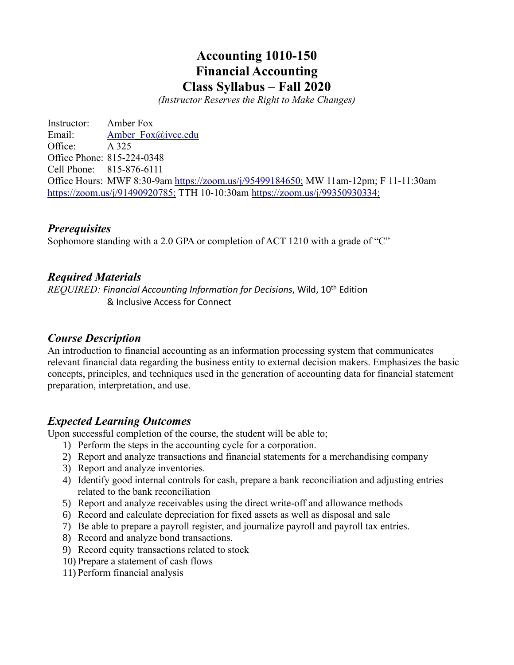# **Accounting 1010-150 Financial Accounting Class Syllabus – Fall 2020**

*(Instructor Reserves the Right to Make Changes)*

Instructor: Amber Fox Email: Amber Fox@ivcc.edu Office: A 325 Office Phone: 815-224-0348 Cell Phone: 815-876-6111 Office Hours: MWF 8:30-9am<https://zoom.us/j/95499184650;> MW 11am-12pm; F 11-11:30am <https://zoom.us/j/91490920785;> TTH 10-10:30am<https://zoom.us/j/99350930334;>

### *Prerequisites*

Sophomore standing with a 2.0 GPA or completion of ACT 1210 with a grade of "C"

### *Required Materials*

*REQUIRED: Financial Accounting Information for Decisions*, Wild, 10th Edition & Inclusive Access for Connect

### *Course Description*

An introduction to financial accounting as an information processing system that communicates relevant financial data regarding the business entity to external decision makers. Emphasizes the basic concepts, principles, and techniques used in the generation of accounting data for financial statement preparation, interpretation, and use.

## *Expected Learning Outcomes*

Upon successful completion of the course, the student will be able to;

- 1) Perform the steps in the accounting cycle for a corporation.
- 2) Report and analyze transactions and financial statements for a merchandising company
- 3) Report and analyze inventories.
- 4) Identify good internal controls for cash, prepare a bank reconciliation and adjusting entries related to the bank reconciliation
- 5) Report and analyze receivables using the direct write-off and allowance methods
- 6) Record and calculate depreciation for fixed assets as well as disposal and sale
- 7) Be able to prepare a payroll register, and journalize payroll and payroll tax entries.
- 8) Record and analyze bond transactions.
- 9) Record equity transactions related to stock
- 10) Prepare a statement of cash flows
- 11) Perform financial analysis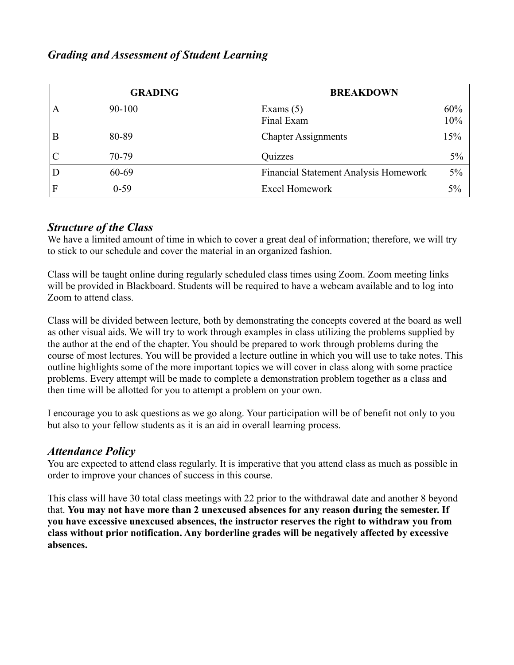# *Grading and Assessment of Student Learning*

|   | <b>GRADING</b> | <b>BREAKDOWN</b>                             |            |
|---|----------------|----------------------------------------------|------------|
| A | $90 - 100$     | Exams $(5)$<br>Final Exam                    | 60%<br>10% |
| B | 80-89          | <b>Chapter Assignments</b>                   | 15%        |
|   | 70-79          | Quizzes                                      | 5%         |
|   | 60-69          | <b>Financial Statement Analysis Homework</b> | $5\%$      |
|   | $0 - 59$       | <b>Excel Homework</b>                        | 5%         |

## *Structure of the Class*

We have a limited amount of time in which to cover a great deal of information; therefore, we will try to stick to our schedule and cover the material in an organized fashion.

Class will be taught online during regularly scheduled class times using Zoom. Zoom meeting links will be provided in Blackboard. Students will be required to have a webcam available and to log into Zoom to attend class.

Class will be divided between lecture, both by demonstrating the concepts covered at the board as well as other visual aids. We will try to work through examples in class utilizing the problems supplied by the author at the end of the chapter. You should be prepared to work through problems during the course of most lectures. You will be provided a lecture outline in which you will use to take notes. This outline highlights some of the more important topics we will cover in class along with some practice problems. Every attempt will be made to complete a demonstration problem together as a class and then time will be allotted for you to attempt a problem on your own.

I encourage you to ask questions as we go along. Your participation will be of benefit not only to you but also to your fellow students as it is an aid in overall learning process.

## *Attendance Policy*

You are expected to attend class regularly. It is imperative that you attend class as much as possible in order to improve your chances of success in this course.

This class will have 30 total class meetings with 22 prior to the withdrawal date and another 8 beyond that. **You may not have more than 2 unexcused absences for any reason during the semester. If you have excessive unexcused absences, the instructor reserves the right to withdraw you from class without prior notification. Any borderline grades will be negatively affected by excessive absences.**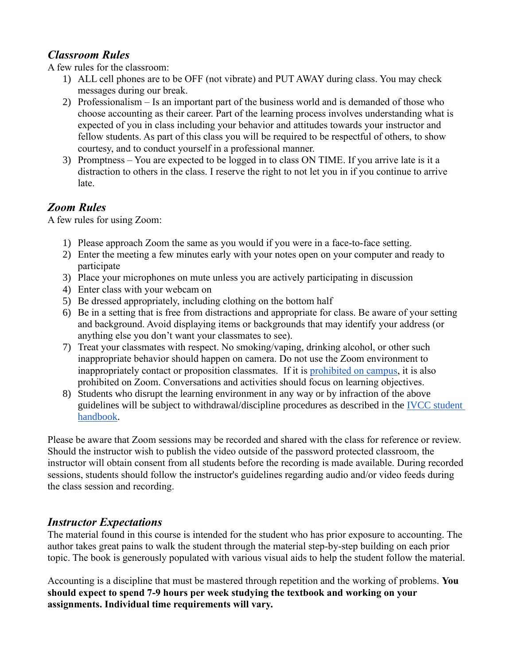# *Classroom Rules*

A few rules for the classroom:

- 1) ALL cell phones are to be OFF (not vibrate) and PUT AWAY during class. You may check messages during our break.
- 2) Professionalism Is an important part of the business world and is demanded of those who choose accounting as their career. Part of the learning process involves understanding what is expected of you in class including your behavior and attitudes towards your instructor and fellow students. As part of this class you will be required to be respectful of others, to show courtesy, and to conduct yourself in a professional manner.
- 3) Promptness You are expected to be logged in to class ON TIME. If you arrive late is it a distraction to others in the class. I reserve the right to not let you in if you continue to arrive late.

# *Zoom Rules*

A few rules for using Zoom:

- 1) Please approach Zoom the same as you would if you were in a face-to-face setting.
- 2) Enter the meeting a few minutes early with your notes open on your computer and ready to participate
- 3) Place your microphones on mute unless you are actively participating in discussion
- 4) Enter class with your webcam on
- 5) Be dressed appropriately, including clothing on the bottom half
- 6) Be in a setting that is free from distractions and appropriate for class. Be aware of your setting and background. Avoid displaying items or backgrounds that may identify your address (or anything else you don't want your classmates to see).
- 7) Treat your classmates with respect. No smoking/vaping, drinking alcohol, or other such inappropriate behavior should happen on camera. Do not use the Zoom environment to inappropriately contact or proposition classmates. If it is [prohibited on campus,](http://catalog.ivcc.edu/studentservices/studenthandbook/codeofconduct/) it is also prohibited on Zoom. Conversations and activities should focus on learning objectives.
- 8) Students who disrupt the learning environment in any way or by infraction of the above guidelines will be subject to withdrawal/discipline procedures as described in the [IVCC student](http://catalog.ivcc.edu/studentservices/studenthandbook/studentrightsandresponsibilities/)  [handbook.](http://catalog.ivcc.edu/studentservices/studenthandbook/studentrightsandresponsibilities/)

Please be aware that Zoom sessions may be recorded and shared with the class for reference or review. Should the instructor wish to publish the video outside of the password protected classroom, the instructor will obtain consent from all students before the recording is made available. During recorded sessions, students should follow the instructor's guidelines regarding audio and/or video feeds during the class session and recording.

# *Instructor Expectations*

The material found in this course is intended for the student who has prior exposure to accounting. The author takes great pains to walk the student through the material step-by-step building on each prior topic. The book is generously populated with various visual aids to help the student follow the material.

Accounting is a discipline that must be mastered through repetition and the working of problems. **You should expect to spend 7-9 hours per week studying the textbook and working on your assignments. Individual time requirements will vary.**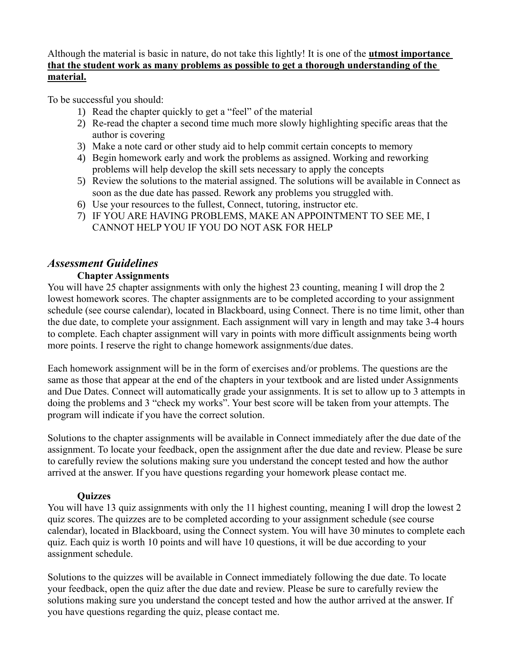Although the material is basic in nature, do not take this lightly! It is one of the **utmost importance that the student work as many problems as possible to get a thorough understanding of the material.**

To be successful you should:

- 1) Read the chapter quickly to get a "feel" of the material
- 2) Re-read the chapter a second time much more slowly highlighting specific areas that the author is covering
- 3) Make a note card or other study aid to help commit certain concepts to memory
- 4) Begin homework early and work the problems as assigned. Working and reworking problems will help develop the skill sets necessary to apply the concepts
- 5) Review the solutions to the material assigned. The solutions will be available in Connect as soon as the due date has passed. Rework any problems you struggled with.
- 6) Use your resources to the fullest, Connect, tutoring, instructor etc.
- 7) IF YOU ARE HAVING PROBLEMS, MAKE AN APPOINTMENT TO SEE ME, I CANNOT HELP YOU IF YOU DO NOT ASK FOR HELP

## *Assessment Guidelines*

### **Chapter Assignments**

You will have 25 chapter assignments with only the highest 23 counting, meaning I will drop the 2 lowest homework scores. The chapter assignments are to be completed according to your assignment schedule (see course calendar), located in Blackboard, using Connect. There is no time limit, other than the due date, to complete your assignment. Each assignment will vary in length and may take 3-4 hours to complete. Each chapter assignment will vary in points with more difficult assignments being worth more points. I reserve the right to change homework assignments/due dates.

Each homework assignment will be in the form of exercises and/or problems. The questions are the same as those that appear at the end of the chapters in your textbook and are listed under Assignments and Due Dates. Connect will automatically grade your assignments. It is set to allow up to 3 attempts in doing the problems and 3 "check my works". Your best score will be taken from your attempts. The program will indicate if you have the correct solution.

Solutions to the chapter assignments will be available in Connect immediately after the due date of the assignment. To locate your feedback, open the assignment after the due date and review. Please be sure to carefully review the solutions making sure you understand the concept tested and how the author arrived at the answer. If you have questions regarding your homework please contact me.

## **Quizzes**

You will have 13 quiz assignments with only the 11 highest counting, meaning I will drop the lowest 2 quiz scores. The quizzes are to be completed according to your assignment schedule (see course calendar), located in Blackboard, using the Connect system. You will have 30 minutes to complete each quiz. Each quiz is worth 10 points and will have 10 questions, it will be due according to your assignment schedule.

Solutions to the quizzes will be available in Connect immediately following the due date. To locate your feedback, open the quiz after the due date and review. Please be sure to carefully review the solutions making sure you understand the concept tested and how the author arrived at the answer. If you have questions regarding the quiz, please contact me.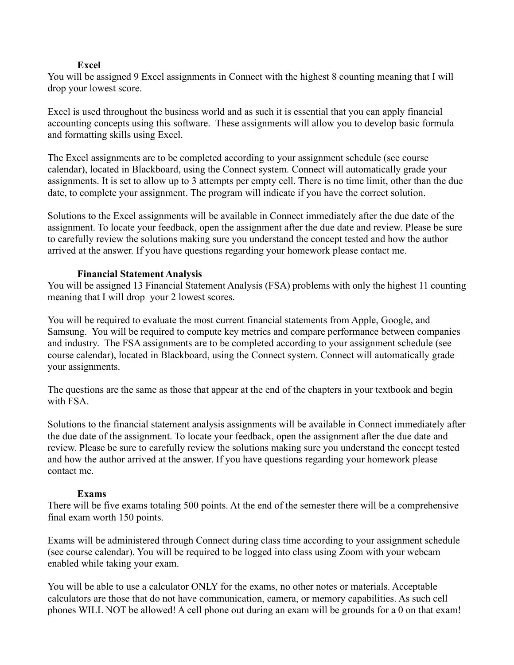#### **Excel**

You will be assigned 9 Excel assignments in Connect with the highest 8 counting meaning that I will drop your lowest score.

Excel is used throughout the business world and as such it is essential that you can apply financial accounting concepts using this software. These assignments will allow you to develop basic formula and formatting skills using Excel.

The Excel assignments are to be completed according to your assignment schedule (see course calendar), located in Blackboard, using the Connect system. Connect will automatically grade your assignments. It is set to allow up to 3 attempts per empty cell. There is no time limit, other than the due date, to complete your assignment. The program will indicate if you have the correct solution.

Solutions to the Excel assignments will be available in Connect immediately after the due date of the assignment. To locate your feedback, open the assignment after the due date and review. Please be sure to carefully review the solutions making sure you understand the concept tested and how the author arrived at the answer. If you have questions regarding your homework please contact me.

#### **Financial Statement Analysis**

You will be assigned 13 Financial Statement Analysis (FSA) problems with only the highest 11 counting meaning that I will drop your 2 lowest scores.

You will be required to evaluate the most current financial statements from Apple, Google, and Samsung. You will be required to compute key metrics and compare performance between companies and industry. The FSA assignments are to be completed according to your assignment schedule (see course calendar), located in Blackboard, using the Connect system. Connect will automatically grade your assignments.

The questions are the same as those that appear at the end of the chapters in your textbook and begin with FSA.

Solutions to the financial statement analysis assignments will be available in Connect immediately after the due date of the assignment. To locate your feedback, open the assignment after the due date and review. Please be sure to carefully review the solutions making sure you understand the concept tested and how the author arrived at the answer. If you have questions regarding your homework please contact me.

#### **Exams**

There will be five exams totaling 500 points. At the end of the semester there will be a comprehensive final exam worth 150 points.

Exams will be administered through Connect during class time according to your assignment schedule (see course calendar). You will be required to be logged into class using Zoom with your webcam enabled while taking your exam.

You will be able to use a calculator ONLY for the exams, no other notes or materials. Acceptable calculators are those that do not have communication, camera, or memory capabilities. As such cell phones WILL NOT be allowed! A cell phone out during an exam will be grounds for a 0 on that exam!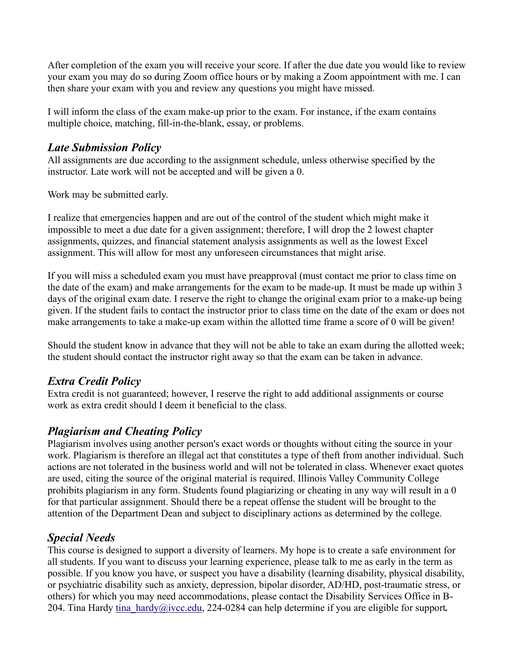After completion of the exam you will receive your score. If after the due date you would like to review your exam you may do so during Zoom office hours or by making a Zoom appointment with me. I can then share your exam with you and review any questions you might have missed.

I will inform the class of the exam make-up prior to the exam. For instance, if the exam contains multiple choice, matching, fill-in-the-blank, essay, or problems.

# *Late Submission Policy*

All assignments are due according to the assignment schedule, unless otherwise specified by the instructor. Late work will not be accepted and will be given a 0.

Work may be submitted early.

I realize that emergencies happen and are out of the control of the student which might make it impossible to meet a due date for a given assignment; therefore, I will drop the 2 lowest chapter assignments, quizzes, and financial statement analysis assignments as well as the lowest Excel assignment. This will allow for most any unforeseen circumstances that might arise.

If you will miss a scheduled exam you must have preapproval (must contact me prior to class time on the date of the exam) and make arrangements for the exam to be made-up. It must be made up within 3 days of the original exam date. I reserve the right to change the original exam prior to a make-up being given. If the student fails to contact the instructor prior to class time on the date of the exam or does not make arrangements to take a make-up exam within the allotted time frame a score of 0 will be given!

Should the student know in advance that they will not be able to take an exam during the allotted week; the student should contact the instructor right away so that the exam can be taken in advance.

# *Extra Credit Policy*

Extra credit is not guaranteed; however, I reserve the right to add additional assignments or course work as extra credit should I deem it beneficial to the class.

# *Plagiarism and Cheating Policy*

Plagiarism involves using another person's exact words or thoughts without citing the source in your work. Plagiarism is therefore an illegal act that constitutes a type of theft from another individual. Such actions are not tolerated in the business world and will not be tolerated in class. Whenever exact quotes are used, citing the source of the original material is required. Illinois Valley Community College prohibits plagiarism in any form. Students found plagiarizing or cheating in any way will result in a 0 for that particular assignment. Should there be a repeat offense the student will be brought to the attention of the Department Dean and subject to disciplinary actions as determined by the college.

# *Special Needs*

This course is designed to support a diversity of learners. My hope is to create a safe environment for all students. If you want to discuss your learning experience, please talk to me as early in the term as possible. If you know you have, or suspect you have a disability (learning disability, physical disability, or psychiatric disability such as anxiety, depression, bipolar disorder, AD/HD, post-traumatic stress, or others) for which you may need accommodations, please contact the Disability Services Office in B-204. Tina Hardy [tina\\_hardy@ivcc.edu,](mailto:tina_hardy@ivcc.edu) 224-0284 can help determine if you are eligible for support*.*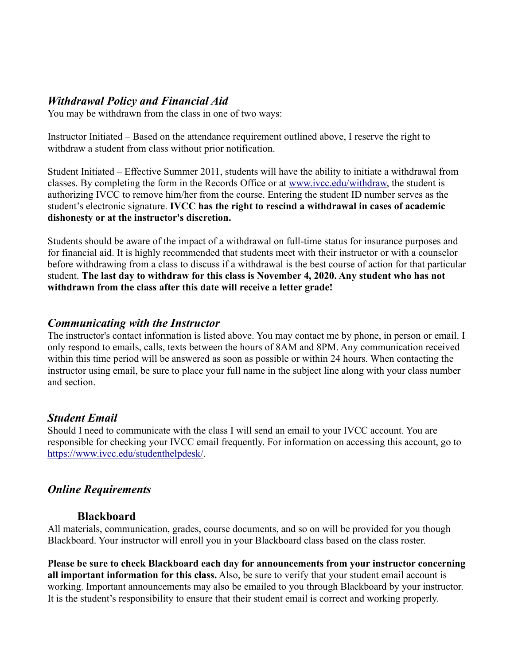## *Withdrawal Policy and Financial Aid*

You may be withdrawn from the class in one of two ways:

Instructor Initiated – Based on the attendance requirement outlined above, I reserve the right to withdraw a student from class without prior notification.

Student Initiated – Effective Summer 2011, students will have the ability to initiate a withdrawal from classes. By completing the form in the Records Office or at [www.ivcc.edu/withdraw,](http://www.ivcc.edu/withdraw) the student is authorizing IVCC to remove him/her from the course. Entering the student ID number serves as the student's electronic signature. **IVCC has the right to rescind a withdrawal in cases of academic dishonesty or at the instructor's discretion.**

Students should be aware of the impact of a withdrawal on full-time status for insurance purposes and for financial aid. It is highly recommended that students meet with their instructor or with a counselor before withdrawing from a class to discuss if a withdrawal is the best course of action for that particular student. **The last day to withdraw for this class is November 4, 2020. Any student who has not withdrawn from the class after this date will receive a letter grade!**

### *Communicating with the Instructor*

The instructor's contact information is listed above. You may contact me by phone, in person or email. I only respond to emails, calls, texts between the hours of 8AM and 8PM. Any communication received within this time period will be answered as soon as possible or within 24 hours. When contacting the instructor using email, be sure to place your full name in the subject line along with your class number and section.

## *Student Email*

Should I need to communicate with the class I will send an email to your IVCC account. You are responsible for checking your IVCC email frequently. For information on accessing this account, go to [https://www.ivcc.edu/studenthelpdesk/.](https://www.ivcc.edu/studenthelpdesk/)

## *Online Requirements*

### **Blackboard**

All materials, communication, grades, course documents, and so on will be provided for you though Blackboard. Your instructor will enroll you in your Blackboard class based on the class roster.

**Please be sure to check Blackboard each day for announcements from your instructor concerning all important information for this class.** Also, be sure to verify that your student email account is working. Important announcements may also be emailed to you through Blackboard by your instructor. It is the student's responsibility to ensure that their student email is correct and working properly.